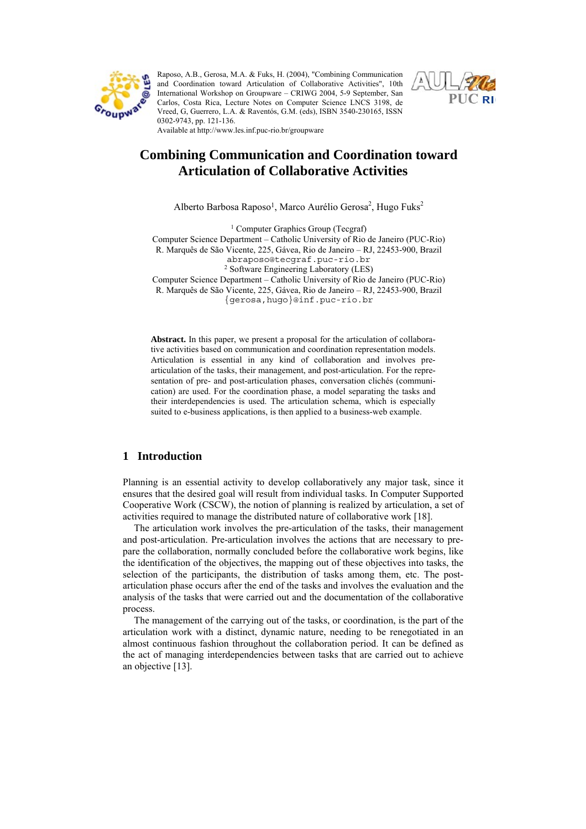

Raposo, A.B., Gerosa, M.A. & Fuks, H. (2004), "Combining Communication and Coordination toward Articulation of Collaborative Activities", 10th International Workshop on Groupware – CRIWG 2004, 5-9 September, San Carlos, Costa Rica, Lecture Notes on Computer Science LNCS 3198, de Vreed, G, Guerrero, L.A. & Raventós, G.M. (eds), ISBN 3540-230165, ISSN 0302-9743, pp. 121-136. Available at http://www.les.inf.puc-rio.br/groupware



# **Combining Communication and Coordination toward Articulation of Collaborative Activities**

Alberto Barbosa Raposo<sup>1</sup>, Marco Aurélio Gerosa<sup>2</sup>, Hugo Fuks<sup>2</sup>

<sup>1</sup> Computer Graphics Group (Tecgraf)

Computer Science Department – Catholic University of Rio de Janeiro (PUC-Rio) R. Marquês de São Vicente, 225, Gávea, Rio de Janeiro – RJ, 22453-900, Brazil abraposo@tecgraf.puc-rio.br 2 Software Engineering Laboratory (LES) Computer Science Department – Catholic University of Rio de Janeiro (PUC-Rio) R. Marquês de São Vicente, 225, Gávea, Rio de Janeiro – RJ, 22453-900, Brazil {gerosa,hugo}@inf.puc-rio.br

**Abstract.** In this paper, we present a proposal for the articulation of collaborative activities based on communication and coordination representation models. Articulation is essential in any kind of collaboration and involves prearticulation of the tasks, their management, and post-articulation. For the representation of pre- and post-articulation phases, conversation clichés (communication) are used. For the coordination phase, a model separating the tasks and their interdependencies is used. The articulation schema, which is especially suited to e-business applications, is then applied to a business-web example.

### **1 Introduction**

Planning is an essential activity to develop collaboratively any major task, since it ensures that the desired goal will result from individual tasks. In Computer Supported Cooperative Work (CSCW), the notion of planning is realized by articulation, a set of activities required to manage the distributed nature of collaborative work [18].

The articulation work involves the pre-articulation of the tasks, their management and post-articulation. Pre-articulation involves the actions that are necessary to prepare the collaboration, normally concluded before the collaborative work begins, like the identification of the objectives, the mapping out of these objectives into tasks, the selection of the participants, the distribution of tasks among them, etc. The postarticulation phase occurs after the end of the tasks and involves the evaluation and the analysis of the tasks that were carried out and the documentation of the collaborative process.

The management of the carrying out of the tasks, or coordination, is the part of the articulation work with a distinct, dynamic nature, needing to be renegotiated in an almost continuous fashion throughout the collaboration period. It can be defined as the act of managing interdependencies between tasks that are carried out to achieve an objective [13].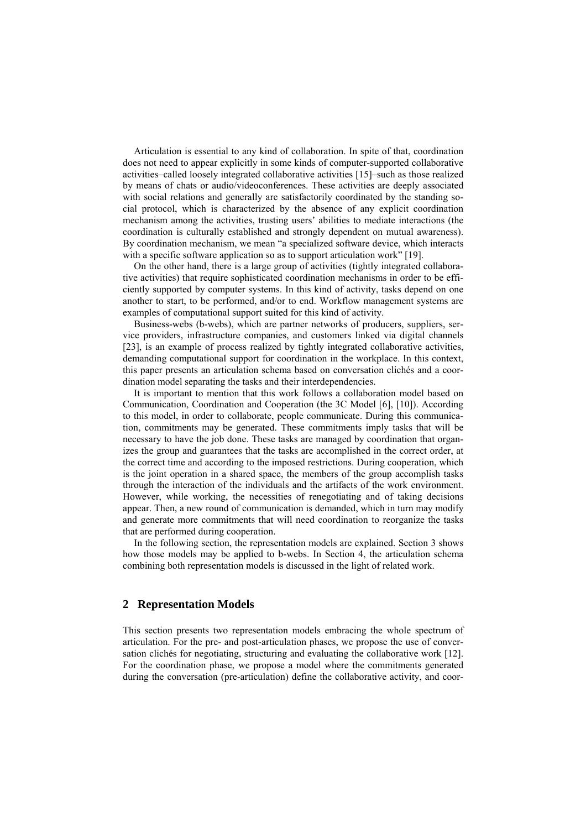Articulation is essential to any kind of collaboration. In spite of that, coordination does not need to appear explicitly in some kinds of computer-supported collaborative activities–called loosely integrated collaborative activities [15]–such as those realized by means of chats or audio/videoconferences. These activities are deeply associated with social relations and generally are satisfactorily coordinated by the standing social protocol, which is characterized by the absence of any explicit coordination mechanism among the activities, trusting users' abilities to mediate interactions (the coordination is culturally established and strongly dependent on mutual awareness). By coordination mechanism, we mean "a specialized software device, which interacts with a specific software application so as to support articulation work" [19].

On the other hand, there is a large group of activities (tightly integrated collaborative activities) that require sophisticated coordination mechanisms in order to be efficiently supported by computer systems. In this kind of activity, tasks depend on one another to start, to be performed, and/or to end. Workflow management systems are examples of computational support suited for this kind of activity.

Business-webs (b-webs), which are partner networks of producers, suppliers, service providers, infrastructure companies, and customers linked via digital channels [23], is an example of process realized by tightly integrated collaborative activities, demanding computational support for coordination in the workplace. In this context, this paper presents an articulation schema based on conversation clichés and a coordination model separating the tasks and their interdependencies.

It is important to mention that this work follows a collaboration model based on Communication, Coordination and Cooperation (the 3C Model [6], [10]). According to this model, in order to collaborate, people communicate. During this communication, commitments may be generated. These commitments imply tasks that will be necessary to have the job done. These tasks are managed by coordination that organizes the group and guarantees that the tasks are accomplished in the correct order, at the correct time and according to the imposed restrictions. During cooperation, which is the joint operation in a shared space, the members of the group accomplish tasks through the interaction of the individuals and the artifacts of the work environment. However, while working, the necessities of renegotiating and of taking decisions appear. Then, a new round of communication is demanded, which in turn may modify and generate more commitments that will need coordination to reorganize the tasks that are performed during cooperation.

In the following section, the representation models are explained. Section 3 shows how those models may be applied to b-webs. In Section 4, the articulation schema combining both representation models is discussed in the light of related work.

### **2 Representation Models**

This section presents two representation models embracing the whole spectrum of articulation. For the pre- and post-articulation phases, we propose the use of conversation clichés for negotiating, structuring and evaluating the collaborative work [12]. For the coordination phase, we propose a model where the commitments generated during the conversation (pre-articulation) define the collaborative activity, and coor-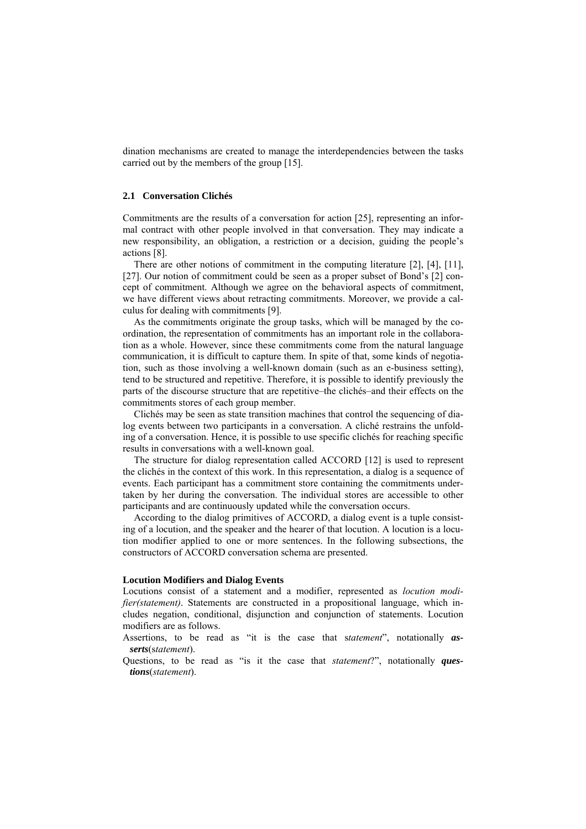dination mechanisms are created to manage the interdependencies between the tasks carried out by the members of the group [15].

#### **2.1 Conversation Clichés**

Commitments are the results of a conversation for action [25], representing an informal contract with other people involved in that conversation. They may indicate a new responsibility, an obligation, a restriction or a decision, guiding the people's actions [8].

There are other notions of commitment in the computing literature [2], [4], [11], [27]. Our notion of commitment could be seen as a proper subset of Bond's [2] concept of commitment. Although we agree on the behavioral aspects of commitment, we have different views about retracting commitments. Moreover, we provide a calculus for dealing with commitments [9].

As the commitments originate the group tasks, which will be managed by the coordination, the representation of commitments has an important role in the collaboration as a whole. However, since these commitments come from the natural language communication, it is difficult to capture them. In spite of that, some kinds of negotiation, such as those involving a well-known domain (such as an e-business setting), tend to be structured and repetitive. Therefore, it is possible to identify previously the parts of the discourse structure that are repetitive–the clichés–and their effects on the commitments stores of each group member.

Clichés may be seen as state transition machines that control the sequencing of dialog events between two participants in a conversation. A cliché restrains the unfolding of a conversation. Hence, it is possible to use specific clichés for reaching specific results in conversations with a well-known goal.

The structure for dialog representation called ACCORD [12] is used to represent the clichés in the context of this work. In this representation, a dialog is a sequence of events. Each participant has a commitment store containing the commitments undertaken by her during the conversation. The individual stores are accessible to other participants and are continuously updated while the conversation occurs.

According to the dialog primitives of ACCORD, a dialog event is a tuple consisting of a locution, and the speaker and the hearer of that locution. A locution is a locution modifier applied to one or more sentences. In the following subsections, the constructors of ACCORD conversation schema are presented.

#### **Locution Modifiers and Dialog Events**

Locutions consist of a statement and a modifier, represented as *locution modifier(statement)*. Statements are constructed in a propositional language, which includes negation, conditional, disjunction and conjunction of statements. Locution modifiers are as follows.

- Assertions, to be read as "it is the case that s*tatement*", notationally *asserts*(s*tatement*).
- Questions, to be read as "is it the case that *statement*?", notationally *questions*(*statement*).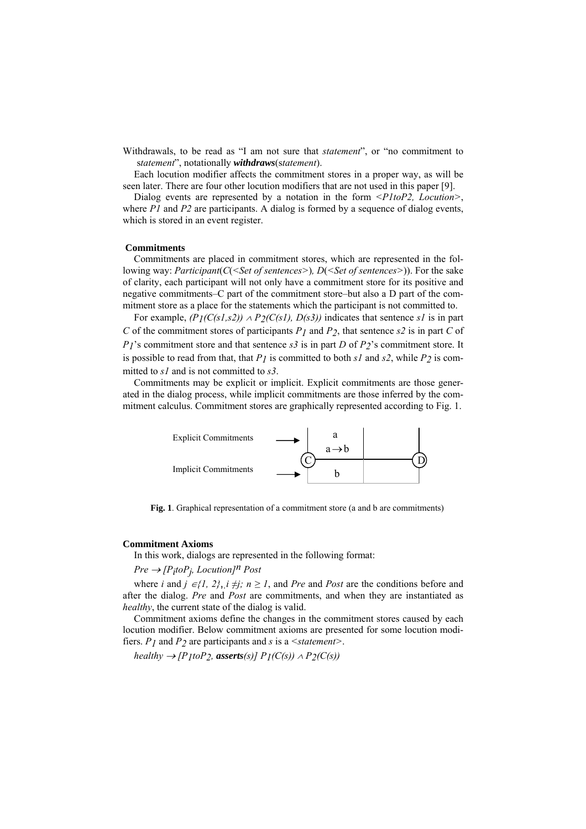Withdrawals, to be read as "I am not sure that *statement*", or "no commitment to s*tatement*", notationally *withdraws*(s*tatement*).

Each locution modifier affects the commitment stores in a proper way, as will be seen later. There are four other locution modifiers that are not used in this paper [9].

Dialog events are represented by a notation in the form *<P1toP2, Locution>*, where *P1* and *P2* are participants. A dialog is formed by a sequence of dialog events, which is stored in an event register.

#### **Commitments**

Commitments are placed in commitment stores, which are represented in the following way: *Participant*(*C*(*<Set of sentences>*)*, D*(*<Set of sentences>*)). For the sake of clarity, each participant will not only have a commitment store for its positive and negative commitments–C part of the commitment store–but also a D part of the commitment store as a place for the statements which the participant is not committed to.

For example,  $\frac{P}{C(s1,s2)} \wedge \frac{P}{C(s1)}$ ,  $D(s3)$  indicates that sentence *s1* is in part *C* of the commitment stores of participants *P1* and *P2*, that sentence *s2* is in part *C* of *P1*'s commitment store and that sentence *s3* is in part *D* of *P2*'s commitment store. It is possible to read from that, that  $P_1$  is committed to both  $s1$  and  $s2$ , while  $P_2$  is committed to *s1* and is not committed to *s3*.

Commitments may be explicit or implicit. Explicit commitments are those generated in the dialog process, while implicit commitments are those inferred by the commitment calculus. Commitment stores are graphically represented according to Fig. 1.



**Fig. 1**. Graphical representation of a commitment store (a and b are commitments)

#### **Commitment Axioms**

In this work, dialogs are represented in the following format:

*Pre* → *[PitoPj, Locution]n Post* 

where *i* and *j* ∈{*l*, 2}, *i* ≠*j*; *n* ≥ *l*, and *Pre* and *Post* are the conditions before and after the dialog. *Pre* and *Post* are commitments, and when they are instantiated as *healthy*, the current state of the dialog is valid.

Commitment axioms define the changes in the commitment stores caused by each locution modifier. Below commitment axioms are presented for some locution modifiers. *P1* and *P2* are participants and *s* is a *<statement>*.

*healthy*  $\rightarrow$  *[P<sub>1toP2</sub>, asserts(s)]*  $P_1(C(s)) \land P_2(C(s))$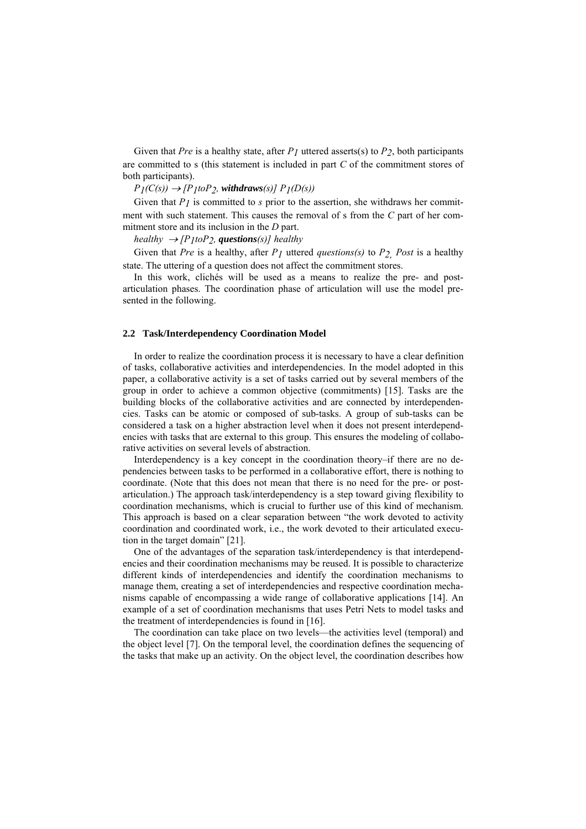Given that *Pre* is a healthy state, after  $P_1$  uttered asserts(s) to  $P_2$ , both participants are committed to s (this statement is included in part *C* of the commitment stores of both participants).

### $P_1(C(s)) \rightarrow [P_1 \text{to } P_2, \text{ with draws}(s)] P_1(D(s))$

Given that  $P_1$  is committed to *s* prior to the assertion, she withdraws her commitment with such statement. This causes the removal of s from the *C* part of her commitment store and its inclusion in the *D* part.

*healthy*  $\rightarrow$  *[P<sub>1</sub>toP<sub>2</sub>, questions(s)] healthy* 

Given that *Pre* is a healthy, after *P1* uttered *questions(s)* to *P2, Post* is a healthy state. The uttering of a question does not affect the commitment stores.

In this work, clichés will be used as a means to realize the pre- and postarticulation phases. The coordination phase of articulation will use the model presented in the following.

### **2.2 Task/Interdependency Coordination Model**

In order to realize the coordination process it is necessary to have a clear definition of tasks, collaborative activities and interdependencies. In the model adopted in this paper, a collaborative activity is a set of tasks carried out by several members of the group in order to achieve a common objective (commitments) [15]. Tasks are the building blocks of the collaborative activities and are connected by interdependencies. Tasks can be atomic or composed of sub-tasks. A group of sub-tasks can be considered a task on a higher abstraction level when it does not present interdependencies with tasks that are external to this group. This ensures the modeling of collaborative activities on several levels of abstraction.

Interdependency is a key concept in the coordination theory–if there are no dependencies between tasks to be performed in a collaborative effort, there is nothing to coordinate. (Note that this does not mean that there is no need for the pre- or postarticulation.) The approach task/interdependency is a step toward giving flexibility to coordination mechanisms, which is crucial to further use of this kind of mechanism. This approach is based on a clear separation between "the work devoted to activity coordination and coordinated work, i.e., the work devoted to their articulated execution in the target domain" [21].

One of the advantages of the separation task/interdependency is that interdependencies and their coordination mechanisms may be reused. It is possible to characterize different kinds of interdependencies and identify the coordination mechanisms to manage them, creating a set of interdependencies and respective coordination mechanisms capable of encompassing a wide range of collaborative applications [14]. An example of a set of coordination mechanisms that uses Petri Nets to model tasks and the treatment of interdependencies is found in [16].

The coordination can take place on two levels—the activities level (temporal) and the object level [7]. On the temporal level, the coordination defines the sequencing of the tasks that make up an activity. On the object level, the coordination describes how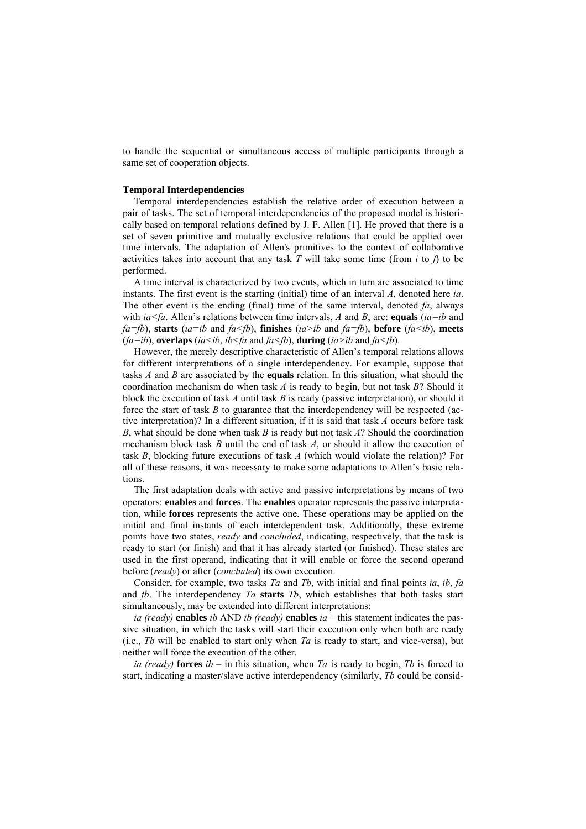to handle the sequential or simultaneous access of multiple participants through a same set of cooperation objects.

#### **Temporal Interdependencies**

Temporal interdependencies establish the relative order of execution between a pair of tasks. The set of temporal interdependencies of the proposed model is historically based on temporal relations defined by J. F. Allen [1]. He proved that there is a set of seven primitive and mutually exclusive relations that could be applied over time intervals. The adaptation of Allen's primitives to the context of collaborative activities takes into account that any task *T* will take some time (from *i* to *f*) to be performed.

A time interval is characterized by two events, which in turn are associated to time instants. The first event is the starting (initial) time of an interval *A*, denoted here *ia*. The other event is the ending (final) time of the same interval, denoted *fa*, always with *ia<fa*. Allen's relations between time intervals, *A* and *B*, are: **equals** (*ia=ib* and *fa=fb*), **starts** (*ia=ib* and *fa<fb*), **finishes** (*ia>ib* and *fa=fb*), **before** (*fa<ib*), **meets** ( $fa = ib$ ), **overlaps** ( $ia < ib$ ,  $ib < fa$  and  $fa < fb$ ), **during** ( $ia > ib$  and  $fa < fb$ ).

However, the merely descriptive characteristic of Allen's temporal relations allows for different interpretations of a single interdependency. For example, suppose that tasks *A* and *B* are associated by the **equals** relation. In this situation, what should the coordination mechanism do when task *A* is ready to begin, but not task *B*? Should it block the execution of task *A* until task *B* is ready (passive interpretation), or should it force the start of task *B* to guarantee that the interdependency will be respected (active interpretation)? In a different situation, if it is said that task *A* occurs before task *B*, what should be done when task *B* is ready but not task *A*? Should the coordination mechanism block task *B* until the end of task *A*, or should it allow the execution of task *B*, blocking future executions of task *A* (which would violate the relation)? For all of these reasons, it was necessary to make some adaptations to Allen's basic relations.

The first adaptation deals with active and passive interpretations by means of two operators: **enables** and **forces**. The **enables** operator represents the passive interpretation, while **forces** represents the active one. These operations may be applied on the initial and final instants of each interdependent task. Additionally, these extreme points have two states, *ready* and *concluded*, indicating, respectively, that the task is ready to start (or finish) and that it has already started (or finished). These states are used in the first operand, indicating that it will enable or force the second operand before (*ready*) or after (*concluded*) its own execution.

Consider, for example, two tasks *Ta* and *Tb*, with initial and final points *ia*, *ib*, *fa* and *fb*. The interdependency *Ta* **starts** *Tb*, which establishes that both tasks start simultaneously, may be extended into different interpretations:

*ia (ready)* **enables** *ib* AND *ib (ready)* **enables** *ia* – this statement indicates the passive situation, in which the tasks will start their execution only when both are ready (i.e., *Tb* will be enabled to start only when *Ta* is ready to start, and vice-versa), but neither will force the execution of the other.

*ia (ready)* forces  $ib - in$  this situation, when *Ta* is ready to begin, *Tb* is forced to start, indicating a master/slave active interdependency (similarly, *Tb* could be consid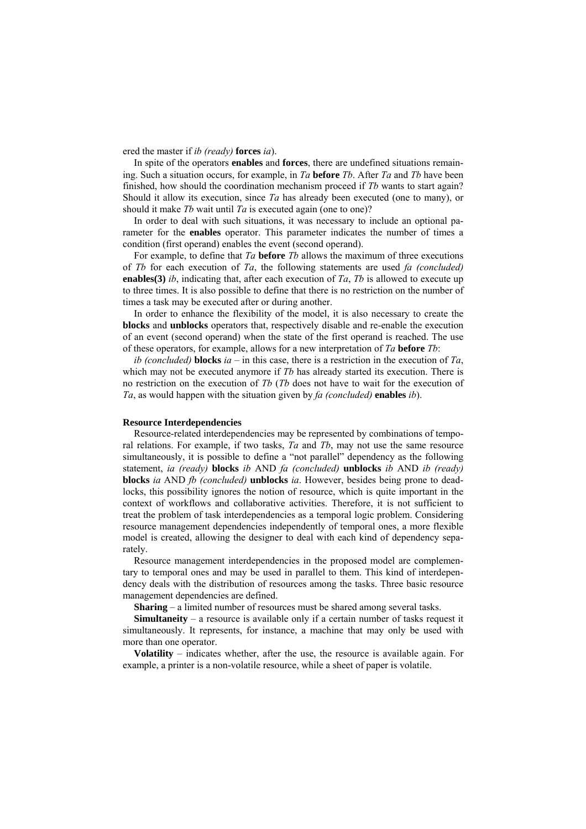ered the master if *ib (ready)* **forces** *ia*).

In spite of the operators **enables** and **forces**, there are undefined situations remaining. Such a situation occurs, for example, in *Ta* **before** *Tb*. After *Ta* and *Tb* have been finished, how should the coordination mechanism proceed if *Tb* wants to start again? Should it allow its execution, since *Ta* has already been executed (one to many), or should it make *Tb* wait until *Ta* is executed again (one to one)?

In order to deal with such situations, it was necessary to include an optional parameter for the **enables** operator. This parameter indicates the number of times a condition (first operand) enables the event (second operand).

For example, to define that *Ta* **before** *Tb* allows the maximum of three executions of *Tb* for each execution of *Ta*, the following statements are used *fa (concluded)*  **enables(3)** *ib*, indicating that, after each execution of *Ta*, *Tb* is allowed to execute up to three times. It is also possible to define that there is no restriction on the number of times a task may be executed after or during another.

In order to enhance the flexibility of the model, it is also necessary to create the **blocks** and **unblocks** operators that, respectively disable and re-enable the execution of an event (second operand) when the state of the first operand is reached. The use of these operators, for example, allows for a new interpretation of *Ta* **before** *Tb*:

*ib (concluded)* **blocks** *ia* – in this case, there is a restriction in the execution of *Ta*, which may not be executed anymore if *Tb* has already started its execution. There is no restriction on the execution of *Tb* (*Tb* does not have to wait for the execution of *Ta*, as would happen with the situation given by *fa (concluded)* **enables** *ib*).

#### **Resource Interdependencies**

Resource-related interdependencies may be represented by combinations of temporal relations. For example, if two tasks, *Ta* and *Tb*, may not use the same resource simultaneously, it is possible to define a "not parallel" dependency as the following statement, *ia (ready)* **blocks** *ib* AND *fa (concluded)* **unblocks** *ib* AND *ib (ready)*  **blocks** *ia* AND *fb (concluded)* **unblocks** *ia*. However, besides being prone to deadlocks, this possibility ignores the notion of resource, which is quite important in the context of workflows and collaborative activities. Therefore, it is not sufficient to treat the problem of task interdependencies as a temporal logic problem. Considering resource management dependencies independently of temporal ones, a more flexible model is created, allowing the designer to deal with each kind of dependency separately.

Resource management interdependencies in the proposed model are complementary to temporal ones and may be used in parallel to them. This kind of interdependency deals with the distribution of resources among the tasks. Three basic resource management dependencies are defined.

**Sharing** – a limited number of resources must be shared among several tasks.

**Simultaneity** – a resource is available only if a certain number of tasks request it simultaneously. It represents, for instance, a machine that may only be used with more than one operator.

**Volatility** – indicates whether, after the use, the resource is available again. For example, a printer is a non-volatile resource, while a sheet of paper is volatile.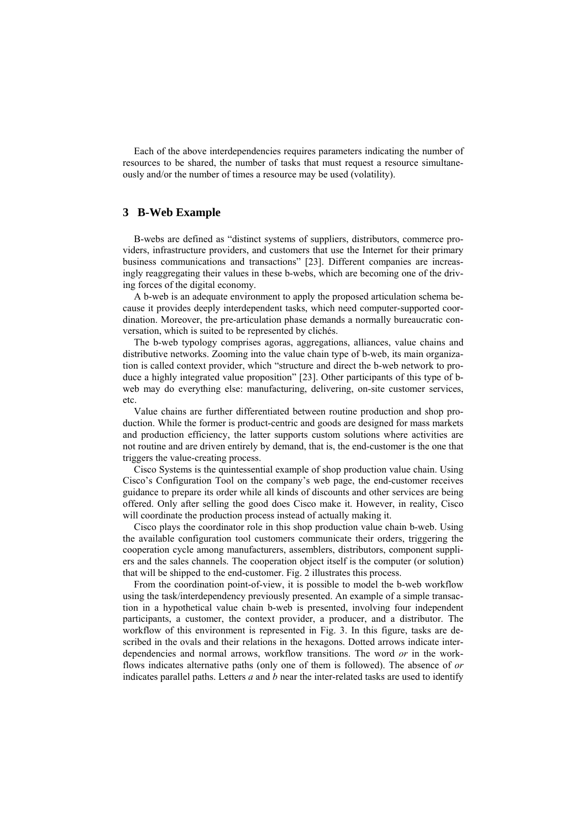Each of the above interdependencies requires parameters indicating the number of resources to be shared, the number of tasks that must request a resource simultaneously and/or the number of times a resource may be used (volatility).

### **3 B-Web Example**

B-webs are defined as "distinct systems of suppliers, distributors, commerce providers, infrastructure providers, and customers that use the Internet for their primary business communications and transactions" [23]. Different companies are increasingly reaggregating their values in these b-webs, which are becoming one of the driving forces of the digital economy.

A b-web is an adequate environment to apply the proposed articulation schema because it provides deeply interdependent tasks, which need computer-supported coordination. Moreover, the pre-articulation phase demands a normally bureaucratic conversation, which is suited to be represented by clichés.

The b-web typology comprises agoras, aggregations, alliances, value chains and distributive networks. Zooming into the value chain type of b-web, its main organization is called context provider, which "structure and direct the b-web network to produce a highly integrated value proposition" [23]. Other participants of this type of bweb may do everything else: manufacturing, delivering, on-site customer services, etc.

Value chains are further differentiated between routine production and shop production. While the former is product-centric and goods are designed for mass markets and production efficiency, the latter supports custom solutions where activities are not routine and are driven entirely by demand, that is, the end-customer is the one that triggers the value-creating process.

Cisco Systems is the quintessential example of shop production value chain. Using Cisco's Configuration Tool on the company's web page, the end-customer receives guidance to prepare its order while all kinds of discounts and other services are being offered. Only after selling the good does Cisco make it. However, in reality, Cisco will coordinate the production process instead of actually making it.

Cisco plays the coordinator role in this shop production value chain b-web. Using the available configuration tool customers communicate their orders, triggering the cooperation cycle among manufacturers, assemblers, distributors, component suppliers and the sales channels. The cooperation object itself is the computer (or solution) that will be shipped to the end-customer. Fig. 2 illustrates this process.

From the coordination point-of-view, it is possible to model the b-web workflow using the task/interdependency previously presented. An example of a simple transaction in a hypothetical value chain b-web is presented, involving four independent participants, a customer, the context provider, a producer, and a distributor. The workflow of this environment is represented in Fig. 3. In this figure, tasks are described in the ovals and their relations in the hexagons. Dotted arrows indicate interdependencies and normal arrows, workflow transitions. The word *or* in the workflows indicates alternative paths (only one of them is followed). The absence of *or* indicates parallel paths. Letters *a* and *b* near the inter-related tasks are used to identify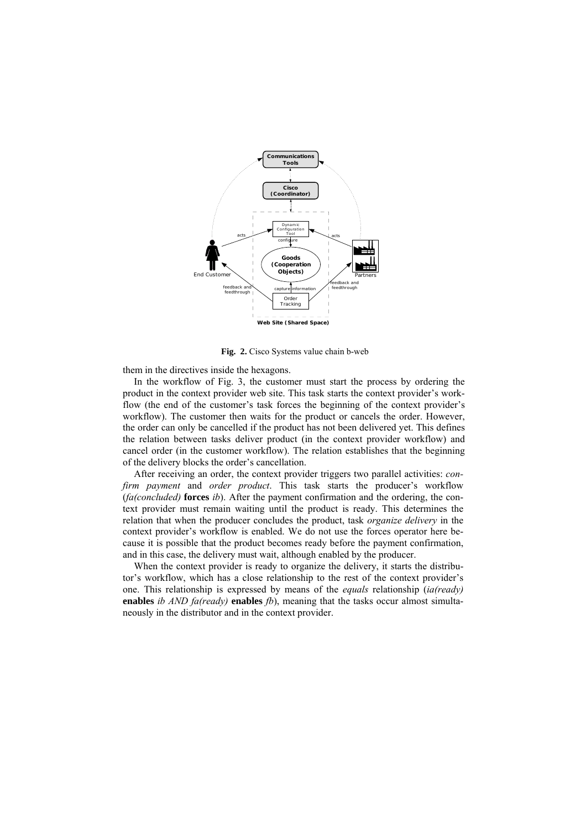

**Fig. 2.** Cisco Systems value chain b-web

them in the directives inside the hexagons.

In the workflow of Fig. 3, the customer must start the process by ordering the product in the context provider web site. This task starts the context provider's workflow (the end of the customer's task forces the beginning of the context provider's workflow). The customer then waits for the product or cancels the order. However, the order can only be cancelled if the product has not been delivered yet. This defines the relation between tasks deliver product (in the context provider workflow) and cancel order (in the customer workflow). The relation establishes that the beginning of the delivery blocks the order's cancellation.

After receiving an order, the context provider triggers two parallel activities: *confirm payment* and *order product*. This task starts the producer's workflow (*fa(concluded)* **forces** *ib*). After the payment confirmation and the ordering, the context provider must remain waiting until the product is ready. This determines the relation that when the producer concludes the product, task *organize delivery* in the context provider's workflow is enabled. We do not use the forces operator here because it is possible that the product becomes ready before the payment confirmation, and in this case, the delivery must wait, although enabled by the producer.

When the context provider is ready to organize the delivery, it starts the distributor's workflow, which has a close relationship to the rest of the context provider's one. This relationship is expressed by means of the *equals* relationship (*ia(ready)*  **enables** *ib AND fa(ready)* **enables** *fb*), meaning that the tasks occur almost simultaneously in the distributor and in the context provider.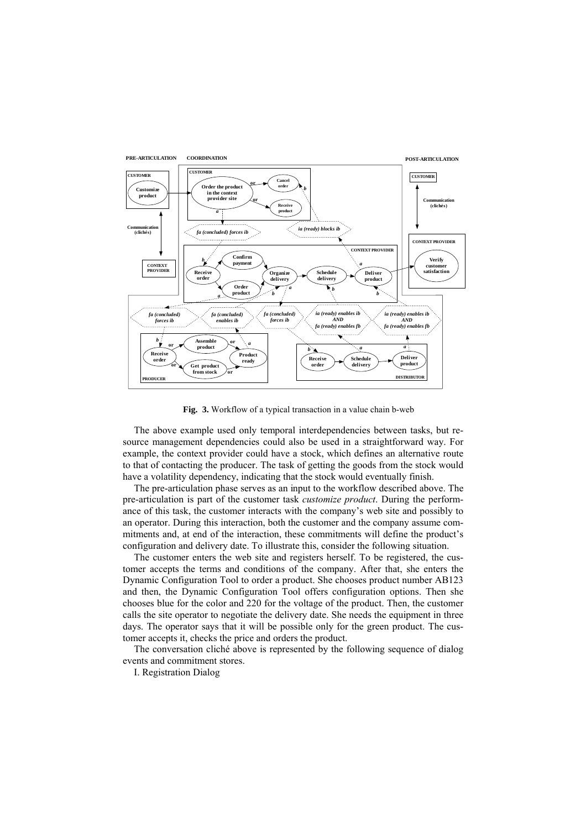

**Fig. 3.** Workflow of a typical transaction in a value chain b-web

The above example used only temporal interdependencies between tasks, but resource management dependencies could also be used in a straightforward way. For example, the context provider could have a stock, which defines an alternative route to that of contacting the producer. The task of getting the goods from the stock would have a volatility dependency, indicating that the stock would eventually finish.

The pre-articulation phase serves as an input to the workflow described above. The pre-articulation is part of the customer task *customize product*. During the performance of this task, the customer interacts with the company's web site and possibly to an operator. During this interaction, both the customer and the company assume commitments and, at end of the interaction, these commitments will define the product's configuration and delivery date. To illustrate this, consider the following situation.

The customer enters the web site and registers herself. To be registered, the customer accepts the terms and conditions of the company. After that, she enters the Dynamic Configuration Tool to order a product. She chooses product number AB123 and then, the Dynamic Configuration Tool offers configuration options. Then she chooses blue for the color and 220 for the voltage of the product. Then, the customer calls the site operator to negotiate the delivery date. She needs the equipment in three days. The operator says that it will be possible only for the green product. The customer accepts it, checks the price and orders the product.

The conversation cliché above is represented by the following sequence of dialog events and commitment stores.

I. Registration Dialog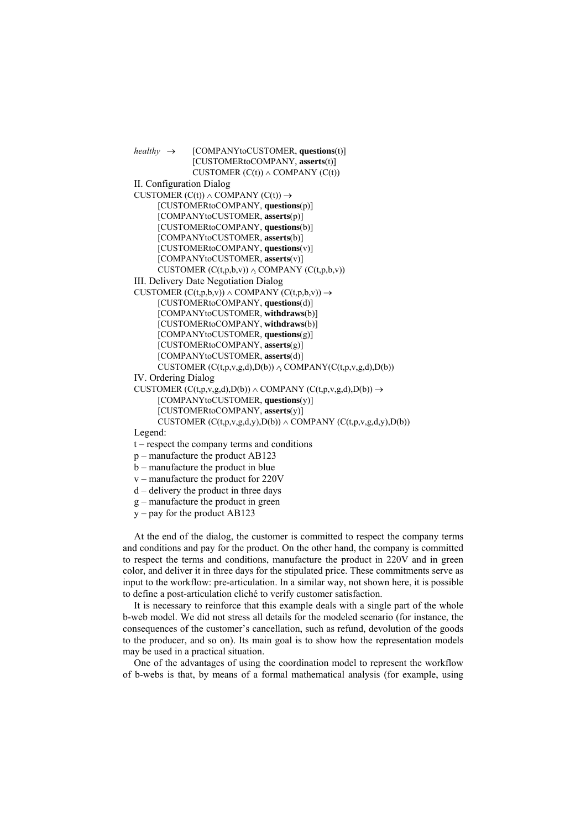*healthy* → [COMPANYtoCUSTOMER, **questions**(t)] [CUSTOMERtoCOMPANY, **asserts**(t)] CUSTOMER  $(C(t)) \wedge \text{COMPANY} (C(t))$ II. Configuration Dialog CUSTOMER  $(C(t)) \wedge \text{COMPANY}(C(t)) \rightarrow$ [CUSTOMERtoCOMPANY, **questions**(p)] [COMPANYtoCUSTOMER, **asserts**(p)] [CUSTOMERtoCOMPANY, **questions**(b)] [COMPANYtoCUSTOMER, **asserts**(b)] [CUSTOMERtoCOMPANY, **questions**(v)] [COMPANYtoCUSTOMER, **asserts**(v)] CUSTOMER  $(C(t,p,b,v)) \wedge \text{COMPANY} (C(t,p,b,v))$ III. Delivery Date Negotiation Dialog CUSTOMER  $(C(t, p, b, v)) \wedge \text{COMPANY } (C(t, p, b, v)) \rightarrow$  [CUSTOMERtoCOMPANY, **questions**(d)] [COMPANYtoCUSTOMER, **withdraws**(b)] [CUSTOMERtoCOMPANY, **withdraws**(b)] [COMPANYtoCUSTOMER, **questions**(g)] [CUSTOMERtoCOMPANY, **asserts**(g)] [COMPANYtoCUSTOMER, **asserts**(d)] CUSTOMER  $(C(t, p, v, g, d), D(b)) \wedge COMPANY(C(t, p, v, g, d), D(b))$ IV. Ordering Dialog CUSTOMER  $(C(t, p, v, g, d), D(b)) \wedge \text{COMPANY } (C(t, p, v, g, d), D(b)) \rightarrow$  [COMPANYtoCUSTOMER, **questions**(y)] [CUSTOMERtoCOMPANY, **asserts**(y)] CUSTOMER  $(C(t, p, v, g, d, y), D(b)) \wedge \text{COMPANY } (C(t, p, v, g, d, y), D(b))$ Legend: t – respect the company terms and conditions p – manufacture the product AB123

- 
- b manufacture the product in blue
- v manufacture the product for 220V
- d delivery the product in three days
- g manufacture the product in green
- $y pay$  for the product AB123

At the end of the dialog, the customer is committed to respect the company terms and conditions and pay for the product. On the other hand, the company is committed to respect the terms and conditions, manufacture the product in 220V and in green color, and deliver it in three days for the stipulated price. These commitments serve as input to the workflow: pre-articulation. In a similar way, not shown here, it is possible to define a post-articulation cliché to verify customer satisfaction.

It is necessary to reinforce that this example deals with a single part of the whole b-web model. We did not stress all details for the modeled scenario (for instance, the consequences of the customer's cancellation, such as refund, devolution of the goods to the producer, and so on). Its main goal is to show how the representation models may be used in a practical situation.

One of the advantages of using the coordination model to represent the workflow of b-webs is that, by means of a formal mathematical analysis (for example, using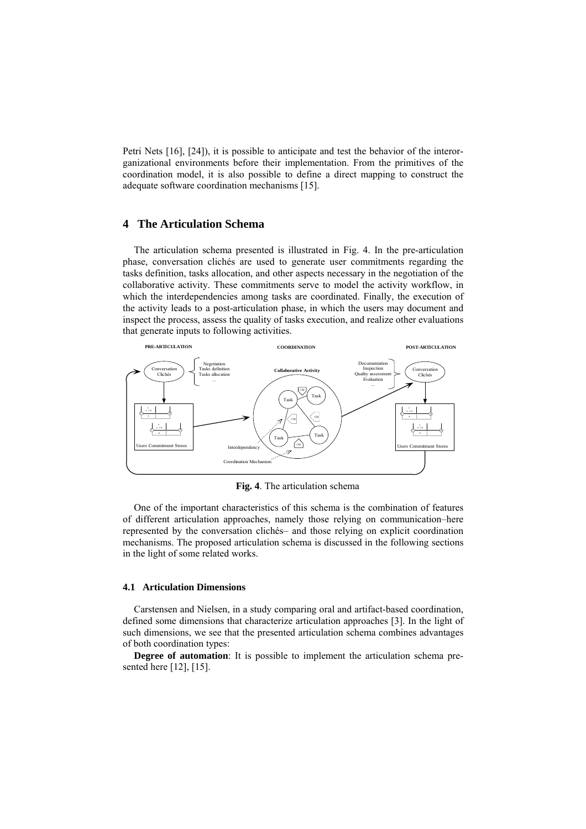Petri Nets [16], [24]), it is possible to anticipate and test the behavior of the interorganizational environments before their implementation. From the primitives of the coordination model, it is also possible to define a direct mapping to construct the adequate software coordination mechanisms [15].

### **4 The Articulation Schema**

The articulation schema presented is illustrated in Fig. 4. In the pre-articulation phase, conversation clichés are used to generate user commitments regarding the tasks definition, tasks allocation, and other aspects necessary in the negotiation of the collaborative activity. These commitments serve to model the activity workflow, in which the interdependencies among tasks are coordinated. Finally, the execution of the activity leads to a post-articulation phase, in which the users may document and inspect the process, assess the quality of tasks execution, and realize other evaluations that generate inputs to following activities.



**Fig. 4**. The articulation schema

One of the important characteristics of this schema is the combination of features of different articulation approaches, namely those relying on communication–here represented by the conversation clichés– and those relying on explicit coordination mechanisms. The proposed articulation schema is discussed in the following sections in the light of some related works.

### **4.1 Articulation Dimensions**

Carstensen and Nielsen, in a study comparing oral and artifact-based coordination, defined some dimensions that characterize articulation approaches [3]. In the light of such dimensions, we see that the presented articulation schema combines advantages of both coordination types:

**Degree of automation**: It is possible to implement the articulation schema presented here [12], [15].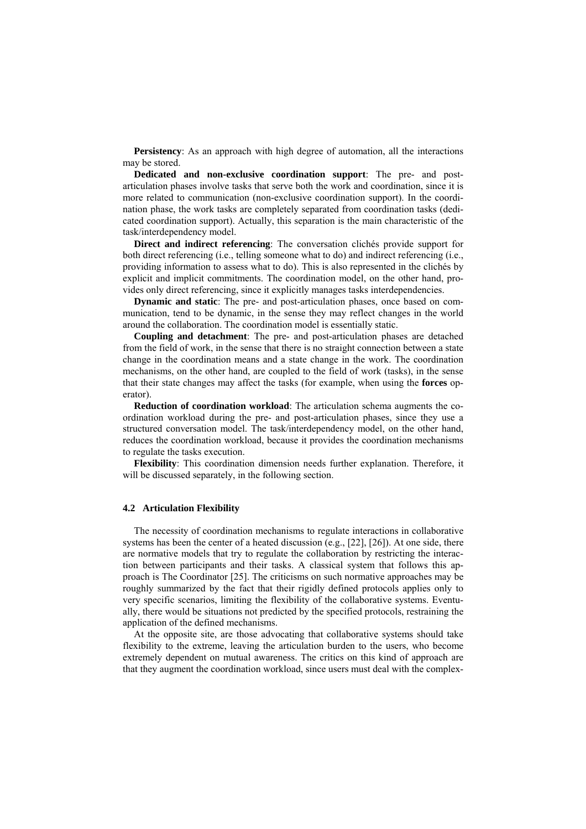**Persistency**: As an approach with high degree of automation, all the interactions may be stored.

**Dedicated and non-exclusive coordination support**: The pre- and postarticulation phases involve tasks that serve both the work and coordination, since it is more related to communication (non-exclusive coordination support). In the coordination phase, the work tasks are completely separated from coordination tasks (dedicated coordination support). Actually, this separation is the main characteristic of the task/interdependency model.

**Direct and indirect referencing**: The conversation clichés provide support for both direct referencing (i.e., telling someone what to do) and indirect referencing (i.e., providing information to assess what to do). This is also represented in the clichés by explicit and implicit commitments. The coordination model, on the other hand, provides only direct referencing, since it explicitly manages tasks interdependencies.

**Dynamic and static**: The pre- and post-articulation phases, once based on communication, tend to be dynamic, in the sense they may reflect changes in the world around the collaboration. The coordination model is essentially static.

**Coupling and detachment**: The pre- and post-articulation phases are detached from the field of work, in the sense that there is no straight connection between a state change in the coordination means and a state change in the work. The coordination mechanisms, on the other hand, are coupled to the field of work (tasks), in the sense that their state changes may affect the tasks (for example, when using the **forces** operator).

**Reduction of coordination workload**: The articulation schema augments the coordination workload during the pre- and post-articulation phases, since they use a structured conversation model. The task/interdependency model, on the other hand, reduces the coordination workload, because it provides the coordination mechanisms to regulate the tasks execution.

**Flexibility**: This coordination dimension needs further explanation. Therefore, it will be discussed separately, in the following section.

#### **4.2 Articulation Flexibility**

The necessity of coordination mechanisms to regulate interactions in collaborative systems has been the center of a heated discussion (e.g., [22], [26]). At one side, there are normative models that try to regulate the collaboration by restricting the interaction between participants and their tasks. A classical system that follows this approach is The Coordinator [25]. The criticisms on such normative approaches may be roughly summarized by the fact that their rigidly defined protocols applies only to very specific scenarios, limiting the flexibility of the collaborative systems. Eventually, there would be situations not predicted by the specified protocols, restraining the application of the defined mechanisms.

At the opposite site, are those advocating that collaborative systems should take flexibility to the extreme, leaving the articulation burden to the users, who become extremely dependent on mutual awareness. The critics on this kind of approach are that they augment the coordination workload, since users must deal with the complex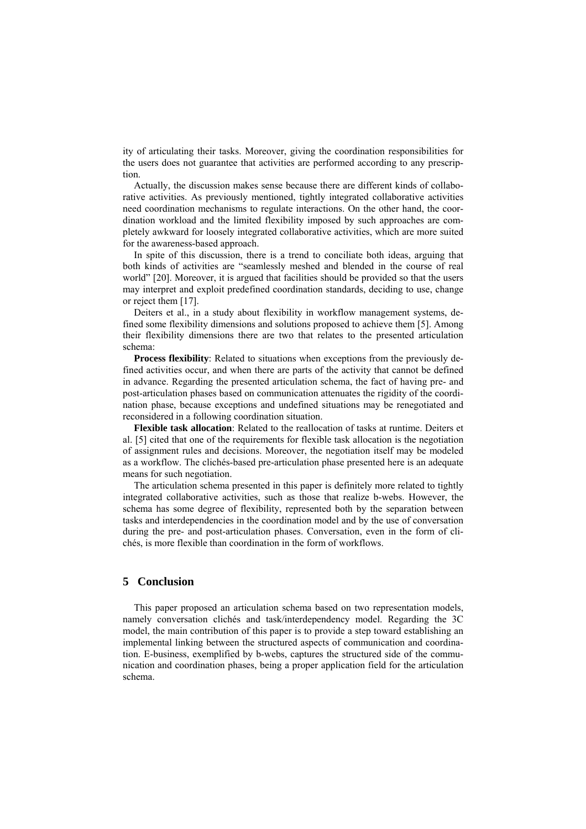ity of articulating their tasks. Moreover, giving the coordination responsibilities for the users does not guarantee that activities are performed according to any prescription.

Actually, the discussion makes sense because there are different kinds of collaborative activities. As previously mentioned, tightly integrated collaborative activities need coordination mechanisms to regulate interactions. On the other hand, the coordination workload and the limited flexibility imposed by such approaches are completely awkward for loosely integrated collaborative activities, which are more suited for the awareness-based approach.

In spite of this discussion, there is a trend to conciliate both ideas, arguing that both kinds of activities are "seamlessly meshed and blended in the course of real world" [20]. Moreover, it is argued that facilities should be provided so that the users may interpret and exploit predefined coordination standards, deciding to use, change or reject them [17].

Deiters et al., in a study about flexibility in workflow management systems, defined some flexibility dimensions and solutions proposed to achieve them [5]. Among their flexibility dimensions there are two that relates to the presented articulation schema:

**Process flexibility**: Related to situations when exceptions from the previously defined activities occur, and when there are parts of the activity that cannot be defined in advance. Regarding the presented articulation schema, the fact of having pre- and post-articulation phases based on communication attenuates the rigidity of the coordination phase, because exceptions and undefined situations may be renegotiated and reconsidered in a following coordination situation.

**Flexible task allocation**: Related to the reallocation of tasks at runtime. Deiters et al. [5] cited that one of the requirements for flexible task allocation is the negotiation of assignment rules and decisions. Moreover, the negotiation itself may be modeled as a workflow. The clichés-based pre-articulation phase presented here is an adequate means for such negotiation.

The articulation schema presented in this paper is definitely more related to tightly integrated collaborative activities, such as those that realize b-webs. However, the schema has some degree of flexibility, represented both by the separation between tasks and interdependencies in the coordination model and by the use of conversation during the pre- and post-articulation phases. Conversation, even in the form of clichés, is more flexible than coordination in the form of workflows.

# **5 Conclusion**

This paper proposed an articulation schema based on two representation models, namely conversation clichés and task/interdependency model. Regarding the 3C model, the main contribution of this paper is to provide a step toward establishing an implemental linking between the structured aspects of communication and coordination. E-business, exemplified by b-webs, captures the structured side of the communication and coordination phases, being a proper application field for the articulation schema.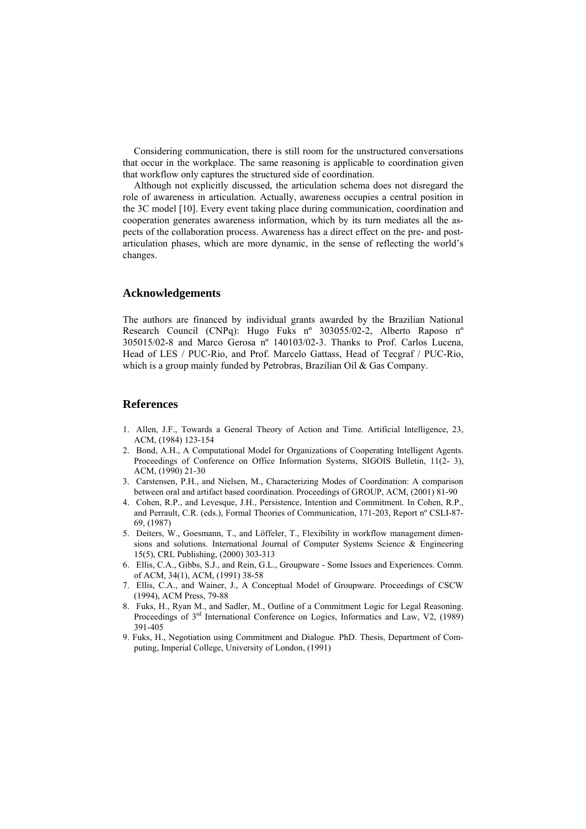Considering communication, there is still room for the unstructured conversations that occur in the workplace. The same reasoning is applicable to coordination given that workflow only captures the structured side of coordination.

Although not explicitly discussed, the articulation schema does not disregard the role of awareness in articulation. Actually, awareness occupies a central position in the 3C model [10]. Every event taking place during communication, coordination and cooperation generates awareness information, which by its turn mediates all the aspects of the collaboration process. Awareness has a direct effect on the pre- and postarticulation phases, which are more dynamic, in the sense of reflecting the world's changes.

### **Acknowledgements**

The authors are financed by individual grants awarded by the Brazilian National Research Council (CNPq): Hugo Fuks nº 303055/02-2, Alberto Raposo nº 305015/02-8 and Marco Gerosa nº 140103/02-3. Thanks to Prof. Carlos Lucena, Head of LES / PUC-Rio, and Prof. Marcelo Gattass, Head of Tecgraf / PUC-Rio, which is a group mainly funded by Petrobras, Brazilian Oil & Gas Company.

# **References**

- 1. Allen, J.F., Towards a General Theory of Action and Time. Artificial Intelligence, 23, ACM, (1984) 123-154
- 2. Bond, A.H., A Computational Model for Organizations of Cooperating Intelligent Agents. Proceedings of Conference on Office Information Systems, SIGOIS Bulletin, 11(2- 3), ACM, (1990) 21-30
- 3. Carstensen, P.H., and Nielsen, M., Characterizing Modes of Coordination: A comparison between oral and artifact based coordination. Proceedings of GROUP, ACM, (2001) 81-90
- 4. Cohen, R.P., and Levesque, J.H., Persistence, Intention and Commitment. In Cohen, R.P., and Perrault, C.R. (eds.), Formal Theories of Communication, 171-203, Report nº CSLI-87- 69, (1987)
- 5. Deiters, W., Goesmann, T., and Löffeler, T., Flexibility in workflow management dimensions and solutions. International Journal of Computer Systems Science & Engineering 15(5), CRL Publishing, (2000) 303-313
- 6. Ellis, C.A., Gibbs, S.J., and Rein, G.L., Groupware Some Issues and Experiences. Comm. of ACM, 34(1), ACM, (1991) 38-58
- 7. Ellis, C.A., and Wainer, J., A Conceptual Model of Groupware. Proceedings of CSCW (1994), ACM Press, 79-88
- 8. Fuks, H., Ryan M., and Sadler, M., Outline of a Commitment Logic for Legal Reasoning. Proceedings of 3<sup>rd</sup> International Conference on Logics, Informatics and Law, V2, (1989) 391-405
- 9. Fuks, H., Negotiation using Commitment and Dialogue*.* PhD. Thesis, Department of Computing, Imperial College, University of London, (1991)